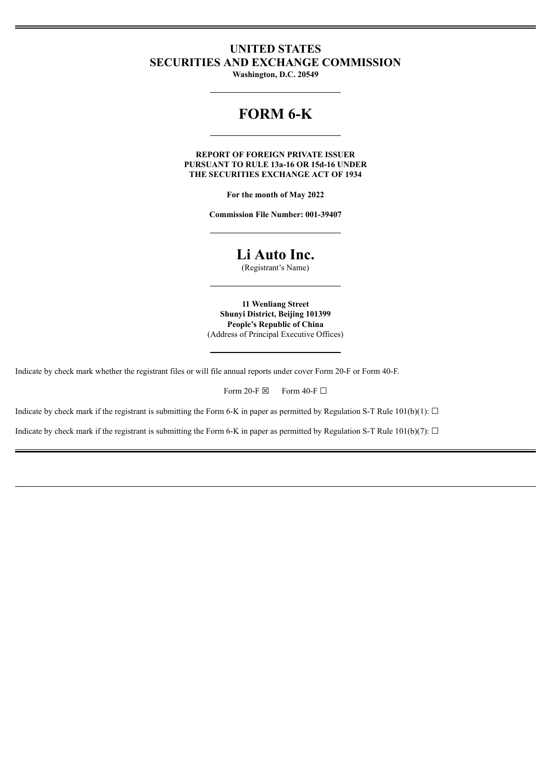## **UNITED STATES SECURITIES AND EXCHANGE COMMISSION**

**Washington, D.C. 20549**

# **FORM 6-K**

**REPORT OF FOREIGN PRIVATE ISSUER PURSUANT TO RULE 13a-16 OR 15d-16 UNDER THE SECURITIES EXCHANGE ACT OF 1934**

**For the month of May 2022**

**Commission File Number: 001-39407**

## **Li Auto Inc.**

(Registrant's Name)

**11 Wenliang Street Shunyi District, Beijing 101399 People's Republic of China** (Address of Principal Executive Offices)

Indicate by check mark whether the registrant files or will file annual reports under cover Form 20-F or Form 40-F.

Form 20-F  $\boxtimes$  Form 40-F  $\Box$ 

Indicate by check mark if the registrant is submitting the Form 6-K in paper as permitted by Regulation S-T Rule 101(b)(1):  $\Box$ 

Indicate by check mark if the registrant is submitting the Form 6-K in paper as permitted by Regulation S-T Rule 101(b)(7):  $\Box$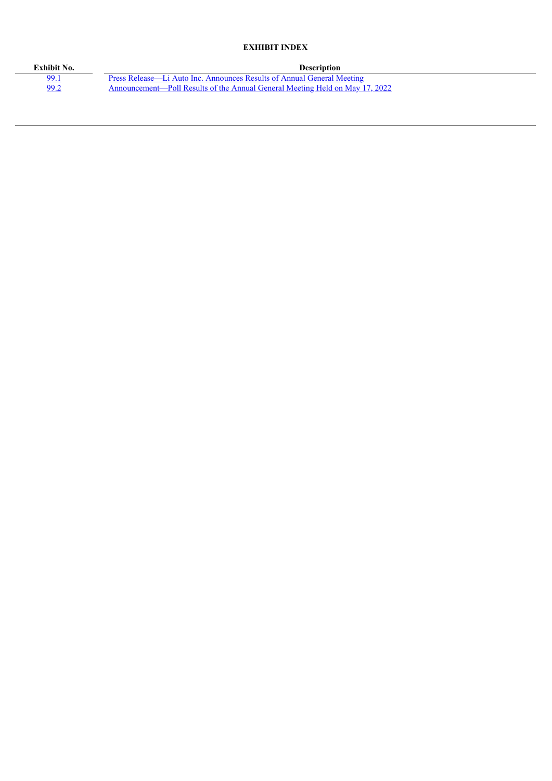### **EXHIBIT INDEX**

| Exhibit No. | <b>Description</b>                                                           |
|-------------|------------------------------------------------------------------------------|
| <u>99.1</u> | Press Release—Li Auto Inc. Announces Results of Annual General Meeting       |
| <u>99.2</u> | Announcement—Poll Results of the Annual General Meeting Held on May 17, 2022 |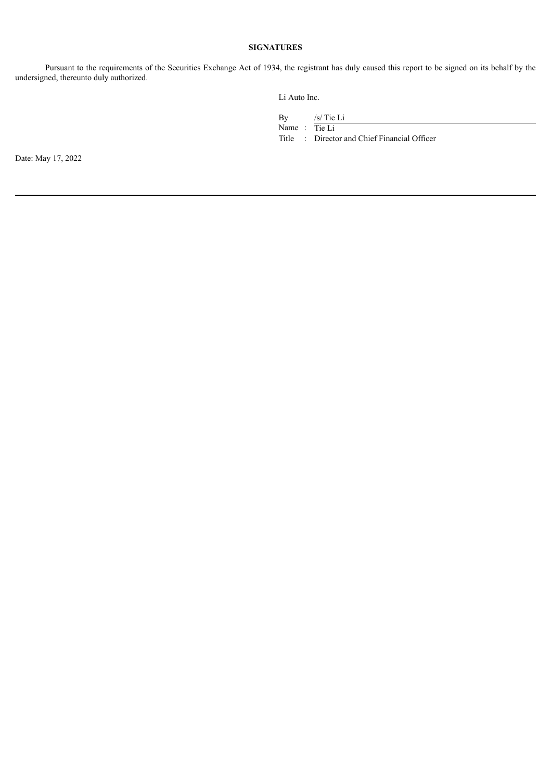### **SIGNATURES**

Pursuant to the requirements of the Securities Exchange Act of 1934, the registrant has duly caused this report to be signed on its behalf by the undersigned, thereunto duly authorized.

Li Auto Inc.

By /s/ Tie Li

Name : Tie Li

Title : Director and Chief Financial Officer

Date: May 17, 2022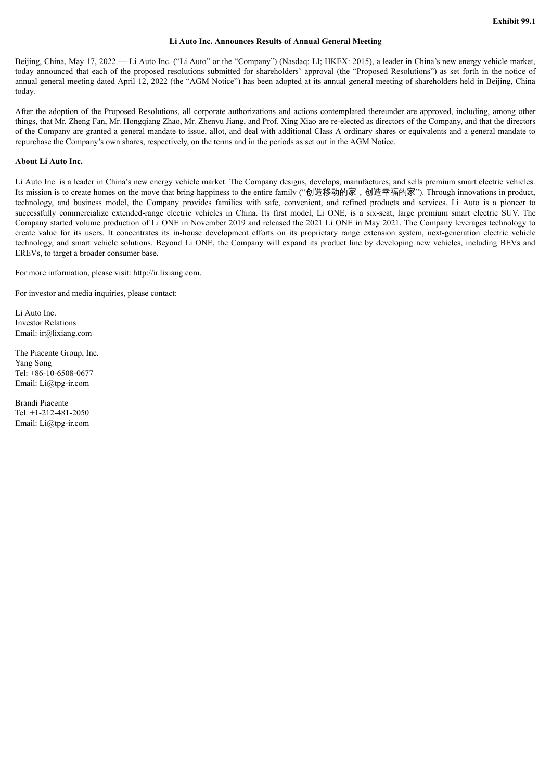#### **Li Auto Inc. Announces Results of Annual General Meeting**

<span id="page-3-0"></span>Beijing, China, May 17, 2022 — Li Auto Inc. ("Li Auto" or the "Company") (Nasdaq: LI; HKEX: 2015), a leader in China's new energy vehicle market, today announced that each of the proposed resolutions submitted for shareholders' approval (the "Proposed Resolutions") as set forth in the notice of annual general meeting dated April 12, 2022 (the "AGM Notice") has been adopted at its annual general meeting of shareholders held in Beijing, China today.

After the adoption of the Proposed Resolutions, all corporate authorizations and actions contemplated thereunder are approved, including, among other things, that Mr. Zheng Fan, Mr. Hongqiang Zhao, Mr. Zhenyu Jiang, and Prof. Xing Xiao are re-elected as directors of the Company, and that the directors of the Company are granted a general mandate to issue, allot, and deal with additional Class A ordinary shares or equivalents and a general mandate to repurchase the Company's own shares, respectively, on the terms and in the periods as set out in the AGM Notice.

#### **About Li Auto Inc.**

Li Auto Inc. is a leader in China's new energy vehicle market. The Company designs, develops, manufactures, and sells premium smart electric vehicles. Its mission is to create homes on the move that bring happiness to the entire family ("创造移动的家,创造幸福的家"). Through innovations in product, technology, and business model, the Company provides families with safe, convenient, and refined products and services. Li Auto is a pioneer to successfully commercialize extended-range electric vehicles in China. Its first model, Li ONE, is a six-seat, large premium smart electric SUV. The Company started volume production of Li ONE in November 2019 and released the 2021 Li ONE in May 2021. The Company leverages technology to create value for its users. It concentrates its in-house development efforts on its proprietary range extension system, next-generation electric vehicle technology, and smart vehicle solutions. Beyond Li ONE, the Company will expand its product line by developing new vehicles, including BEVs and EREVs, to target a broader consumer base.

For more information, please visit: http://ir.lixiang.com.

For investor and media inquiries, please contact:

Li Auto Inc. Investor Relations Email: ir@lixiang.com

The Piacente Group, Inc. Yang Song Tel: +86-10-6508-0677 Email: Li@tpg-ir.com

Brandi Piacente Tel: +1-212-481-2050 Email: Li@tpg-ir.com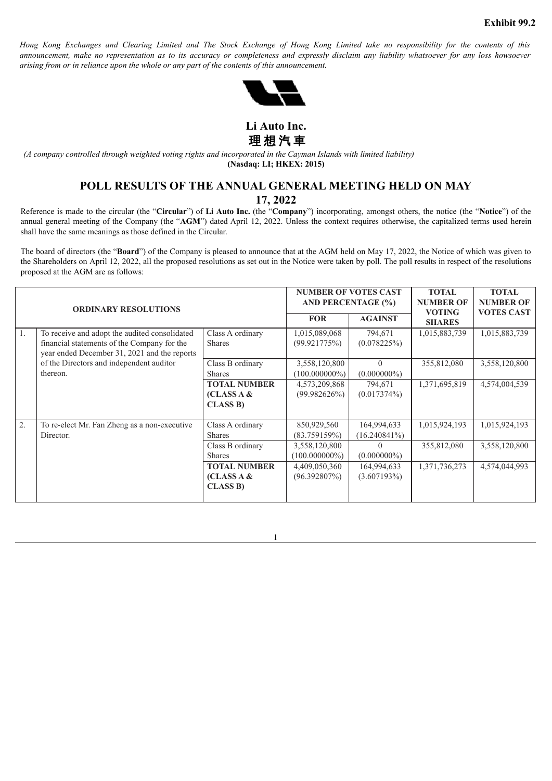<span id="page-4-0"></span>Hong Kong Exchanges and Clearing Limited and The Stock Exchange of Hong Kong Limited take no responsibility for the contents of this announcement, make no representation as to its accuracy or completeness and expressly disclaim any liability whatsoever for any loss howsoever *arising from or in reliance upon the whole or any part of the contents of this announcement.*



**Li Auto Inc.** 理 想 汽 車

(A company controlled through weighted voting rights and incorporated in the Cayman Islands with limited liability) **(Nasdaq: LI; HKEX: 2015)**

### **POLL RESULTS OF THE ANNUAL GENERAL MEETING HELD ON MAY 17, 2022**

Reference is made to the circular (the "**Circular**") of **Li Auto Inc.** (the "**Company**") incorporating, amongst others, the notice (the "**Notice**") of the annual general meeting of the Company (the "**AGM**") dated April 12, 2022. Unless the context requires otherwise, the capitalized terms used herein shall have the same meanings as those defined in the Circular.

The board of directors (the "**Board**") of the Company is pleased to announce that at the AGM held on May 17, 2022, the Notice of which was given to the Shareholders on April 12, 2022, all the proposed resolutions as set out in the Notice were taken by poll. The poll results in respect of the resolutions proposed at the AGM are as follows:

| <b>ORDINARY RESOLUTIONS</b> |                                                                                                                                              |                                                      | <b>NUMBER OF VOTES CAST</b><br><b>AND PERCENTAGE (%)</b><br><b>AGAINST</b><br><b>FOR</b> |                                | <b>TOTAL</b><br><b>NUMBER OF</b><br><b>VOTING</b><br><b>SHARES</b> | <b>TOTAL</b><br><b>NUMBER OF</b><br><b>VOTES CAST</b> |
|-----------------------------|----------------------------------------------------------------------------------------------------------------------------------------------|------------------------------------------------------|------------------------------------------------------------------------------------------|--------------------------------|--------------------------------------------------------------------|-------------------------------------------------------|
| 1.                          | To receive and adopt the audited consolidated<br>financial statements of the Company for the<br>year ended December 31, 2021 and the reports | Class A ordinary<br><b>Shares</b>                    | 1,015,089,068<br>(99.921775%)                                                            | 794,671<br>(0.078225%)         | 1,015,883,739                                                      | 1,015,883,739                                         |
|                             | of the Directors and independent auditor<br>thereon.                                                                                         | Class B ordinary<br><b>Shares</b>                    | 3,558,120,800<br>$(100.000000\%)$                                                        | $\theta$<br>$(0.000000\%)$     | 355,812,080                                                        | 3,558,120,800                                         |
|                             |                                                                                                                                              | <b>TOTAL NUMBER</b><br>(CLASS A &<br><b>CLASS B)</b> | 4,573,209,868<br>$(99.982626\%)$                                                         | 794,671<br>(0.017374%)         | 1,371,695,819                                                      | 4,574,004,539                                         |
| 2.                          | To re-elect Mr. Fan Zheng as a non-executive<br>Director.                                                                                    | Class A ordinary<br><b>Shares</b>                    | 850,929,560<br>(83.759159%)                                                              | 164,994,633<br>$(16.240841\%)$ | 1,015,924,193                                                      | 1,015,924,193                                         |
|                             |                                                                                                                                              | Class B ordinary<br><b>Shares</b>                    | 3,558,120,800<br>$(100.000000\%)$                                                        | $\Omega$<br>$(0.000000\%)$     | 355,812,080                                                        | 3,558,120,800                                         |
|                             |                                                                                                                                              | <b>TOTAL NUMBER</b><br>(CLASS A &<br><b>CLASS B)</b> | 4,409,050,360<br>$(96.392807\%)$                                                         | 164,994,633<br>(3.607193%)     | 1,371,736,273                                                      | 4,574,044,993                                         |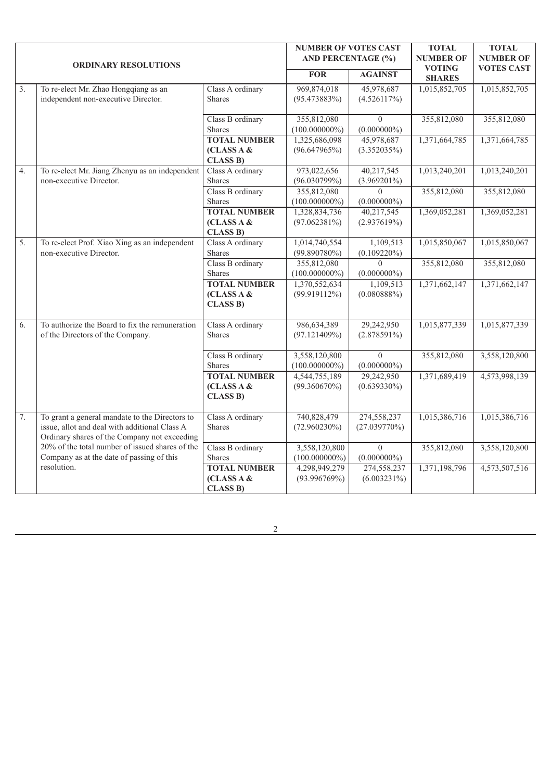| <b>ORDINARY RESOLUTIONS</b> |                                                                                                                                                 | <b>NUMBER OF VOTES CAST</b><br><b>AND PERCENTAGE (%)</b> |                                   | <b>TOTAL</b><br><b>NUMBER OF</b>   | <b>TOTAL</b><br><b>NUMBER OF</b> |               |
|-----------------------------|-------------------------------------------------------------------------------------------------------------------------------------------------|----------------------------------------------------------|-----------------------------------|------------------------------------|----------------------------------|---------------|
|                             |                                                                                                                                                 | <b>FOR</b>                                               | <b>AGAINST</b>                    | <b>VOTING</b><br><b>SHARES</b>     | <b>VOTES CAST</b>                |               |
| 3.                          | To re-elect Mr. Zhao Hongqiang as an<br>independent non-executive Director.                                                                     | Class A ordinary<br><b>Shares</b>                        | 969,874,018<br>$(95.473883\%)$    | 45,978,687<br>(4.526117%)          | 1,015,852,705                    | 1,015,852,705 |
|                             |                                                                                                                                                 | Class B ordinary<br><b>Shares</b>                        | 355,812,080<br>$(100.000000\%)$   | $\Omega$<br>$(0.000000\%)$         | 355,812,080                      | 355,812,080   |
|                             |                                                                                                                                                 | <b>TOTAL NUMBER</b><br>(CLASS A &<br><b>CLASS B)</b>     | 1,325,686,098<br>(96.647965%)     | 45,978,687<br>(3.352035%)          | 1,371,664,785                    | 1,371,664,785 |
| $\overline{4}$ .            | To re-elect Mr. Jiang Zhenyu as an independent<br>non-executive Director.                                                                       | Class A ordinary<br><b>Shares</b>                        | 973,022,656<br>$(96.030799\%)$    | 40,217,545<br>$(3.969201\%)$       | 1,013,240,201                    | 1,013,240,201 |
|                             |                                                                                                                                                 | Class B ordinary<br><b>Shares</b>                        | 355,812,080<br>$(100.000000\%)$   | $\Omega$<br>$(0.000000\%)$         | 355,812,080                      | 355,812,080   |
|                             |                                                                                                                                                 | <b>TOTAL NUMBER</b><br>(CLASS A &<br><b>CLASS B)</b>     | 1,328,834,736<br>$(97.062381\%)$  | 40,217,545<br>(2.937619%)          | 1,369,052,281                    | 1,369,052,281 |
| $\overline{5}$ .            | To re-elect Prof. Xiao Xing as an independent<br>non-executive Director.                                                                        | Class A ordinary<br>Shares                               | 1,014,740,554<br>$(99.890780\%)$  | 1,109,513<br>$(0.109220\%)$        | 1,015,850,067                    | 1,015,850,067 |
|                             |                                                                                                                                                 | Class B ordinary<br><b>Shares</b>                        | 355,812,080<br>$(100.000000\%)$   | $\Omega$<br>$(0.000000\%)$         | 355,812,080                      | 355,812,080   |
|                             |                                                                                                                                                 | <b>TOTAL NUMBER</b><br>(CLASS A &<br><b>CLASS B)</b>     | 1,370,552,634<br>(99.919112%)     | 1,109,513<br>$(0.080888\%)$        | 1,371,662,147                    | 1,371,662,147 |
| $\overline{6}$ .            | To authorize the Board to fix the remuneration<br>of the Directors of the Company.                                                              | Class A ordinary<br><b>Shares</b>                        | 986,634,389<br>(97.121409%)       | 29,242,950<br>$(2.878591\%)$       | 1,015,877,339                    | 1,015,877,339 |
|                             |                                                                                                                                                 | Class B ordinary<br><b>Shares</b>                        | 3,558,120,800<br>$(100.000000\%)$ | $\boldsymbol{0}$<br>$(0.000000\%)$ | 355,812,080                      | 3,558,120,800 |
|                             |                                                                                                                                                 | <b>TOTAL NUMBER</b><br>(CLASS A &<br><b>CLASS B)</b>     | 4,544,755,189<br>$(99.360670\%)$  | 29,242,950<br>$(0.639330\%)$       | 1,371,689,419                    | 4,573,998,139 |
| 7.                          | To grant a general mandate to the Directors to<br>issue, allot and deal with additional Class A<br>Ordinary shares of the Company not exceeding | Class A ordinary<br><b>Shares</b>                        | 740,828,479<br>$(72.960230\%)$    | 274,558,237<br>$(27.039770\%)$     | 1,015,386,716                    | 1,015,386,716 |
|                             | 20% of the total number of issued shares of the<br>Company as at the date of passing of this                                                    | Class B ordinary<br>Shares                               | 3,558,120,800<br>$(100.000000\%)$ | $\theta$<br>$(0.000000\%)$         | 355,812,080                      | 3,558,120,800 |
|                             | resolution.                                                                                                                                     | <b>TOTAL NUMBER</b><br>(CLASS A &<br><b>CLASS B)</b>     | 4,298,949,279<br>(93.996769%)     | 274,558,237<br>$(6.003231\%)$      | 1,371,198,796                    | 4,573,507,516 |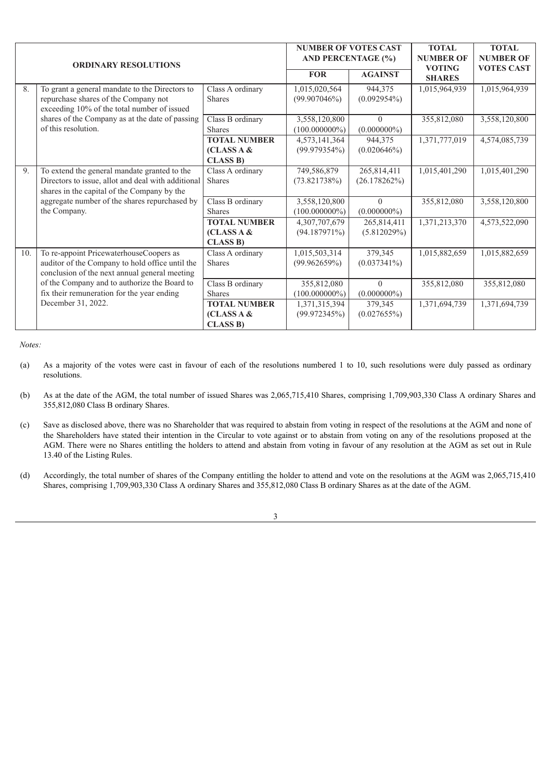| <b>ORDINARY RESOLUTIONS</b> |                                                                                                                                                   |                                                      | <b>NUMBER OF VOTES CAST</b><br><b>AND PERCENTAGE (%)</b> |                             | <b>TOTAL</b><br><b>NUMBER OF</b> | <b>TOTAL</b><br><b>NUMBER OF</b> |
|-----------------------------|---------------------------------------------------------------------------------------------------------------------------------------------------|------------------------------------------------------|----------------------------------------------------------|-----------------------------|----------------------------------|----------------------------------|
|                             |                                                                                                                                                   |                                                      | <b>FOR</b>                                               | <b>AGAINST</b>              | <b>VOTING</b><br><b>SHARES</b>   | <b>VOTES CAST</b>                |
| 8.                          | To grant a general mandate to the Directors to<br>repurchase shares of the Company not<br>exceeding 10% of the total number of issued             | Class A ordinary<br><b>Shares</b>                    | 1,015,020,564<br>(99.907046%)                            | 944,375<br>$(0.092954\%)$   | 1,015,964,939                    | 1,015,964,939                    |
|                             | shares of the Company as at the date of passing<br>of this resolution.                                                                            | Class B ordinary<br><b>Shares</b>                    | 3,558,120,800<br>$(100.000000\%)$                        | $\theta$<br>$(0.000000\%)$  | 355,812,080                      | 3,558,120,800                    |
|                             |                                                                                                                                                   | <b>TOTAL NUMBER</b><br>(CLASS A &<br><b>CLASS B)</b> | 4,573,141,364<br>$(99.979354\%)$                         | 944,375<br>(0.020646%)      | 1,371,777,019                    | 4,574,085,739                    |
| 9.                          | To extend the general mandate granted to the<br>Directors to issue, allot and deal with additional<br>shares in the capital of the Company by the | Class A ordinary<br><b>Shares</b>                    | 749,586,879<br>(73.821738%)                              | 265,814,411<br>(26.178262%) | 1,015,401,290                    | 1,015,401,290                    |
|                             | aggregate number of the shares repurchased by<br>the Company.                                                                                     | Class B ordinary<br><b>Shares</b>                    | 3,558,120,800<br>$(100.000000\%)$                        | $\theta$<br>$(0.000000\%)$  | 355,812,080                      | 3,558,120,800                    |
|                             |                                                                                                                                                   | <b>TOTAL NUMBER</b><br>(CLASS A &<br><b>CLASS B)</b> | 4,307,707,679<br>(94.187971%)                            | 265,814,411<br>(5.812029%)  | 1,371,213,370                    | 4,573,522,090                    |
| 10.                         | To re-appoint PricewaterhouseCoopers as<br>auditor of the Company to hold office until the<br>conclusion of the next annual general meeting       | Class A ordinary<br><b>Shares</b>                    | 1,015,503,314<br>(99.962659%)                            | 379,345<br>$(0.037341\%)$   | 1,015,882,659                    | 1,015,882,659                    |
|                             | of the Company and to authorize the Board to<br>fix their remuneration for the year ending                                                        | Class B ordinary<br><b>Shares</b>                    | 355,812,080<br>$(100.000000\%)$                          | $\Omega$<br>$(0.000000\%)$  | 355,812,080                      | 355,812,080                      |
|                             | December 31, 2022.                                                                                                                                | <b>TOTAL NUMBER</b><br>(CLASS A &<br><b>CLASS B)</b> | 1,371,315,394<br>(99.972345%)                            | 379,345<br>(0.027655%)      | 1,371,694,739                    | 1,371,694,739                    |

*Notes:*

(a) As a majority of the votes were cast in favour of each of the resolutions numbered 1 to 10, such resolutions were duly passed as ordinary resolutions.

- (b) As at the date of the AGM, the total number of issued Shares was 2,065,715,410 Shares, comprising 1,709,903,330 Class A ordinary Shares and 355,812,080 Class B ordinary Shares.
- (c) Save as disclosed above, there was no Shareholder that was required to abstain from voting in respect of the resolutions at the AGM and none of the Shareholders have stated their intention in the Circular to vote against or to abstain from voting on any of the resolutions proposed at the AGM. There were no Shares entitling the holders to attend and abstain from voting in favour of any resolution at the AGM as set out in Rule 13.40 of the Listing Rules.
- (d) Accordingly, the total number of shares of the Company entitling the holder to attend and vote on the resolutions at the AGM was 2,065,715,410 Shares, comprising 1,709,903,330 Class A ordinary Shares and 355,812,080 Class B ordinary Shares as at the date of the AGM.